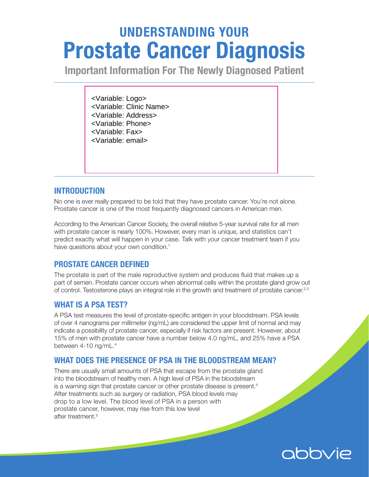# UNDERSTANDING YOUR Prostate Cancer Diagnosis

Important Information For The Newly Diagnosed Patient

<Variable: Logo> <Variable: Clinic Name> <Variable: Address> <Variable: Phone> <Variable: Fax> <Variable: email>

## INTRODUCTION

No one is ever really prepared to be told that they have prostate cancer. You're not alone. Prostate cancer is one of the most frequently diagnosed cancers in American men.

According to the American Cancer Society, the overall relative 5-year survival rate for all men with prostate cancer is nearly 100%. However, every man is unique, and statistics can't predict exactly what will happen in your case. Talk with your cancer treatment team if you have questions about your own condition.<sup>1</sup>

## PROSTATE CANCER DEFINED

The prostate is part of the male reproductive system and produces fluid that makes up a part of semen. Prostate cancer occurs when abnormal cells within the prostate gland grow out of control. Testosterone plays an integral role in the growth and treatment of prostate cancer.<sup>2,3</sup>

## WHAT IS A PSA TEST?

A PSA test measures the level of prostate-specific antigen in your bloodstream. PSA levels of over 4 nanograms per millimeter (ng/mL) are considered the upper limit of normal and may indicate a possibility of prostate cancer, especially if risk factors are present. However, about 15% of men with prostate cancer have a number below 4.0 ng/mL, and 25% have a PSA between 4-10 ng/mL. 4

## WHAT DOES THE PRESENCE OF PSA IN THE BLOODSTREAM MEAN?

There are usually small amounts of PSA that escape from the prostate gland into the bloodstream of healthy men. A high level of PSA in the bloodstream is a warning sign that prostate cancer or other prostate disease is present. $4$ After treatments such as surgery or radiation, PSA blood levels may drop to a low level. The blood level of PSA in a person with prostate cancer, however, may rise from this low level after treatment.<sup>5</sup>